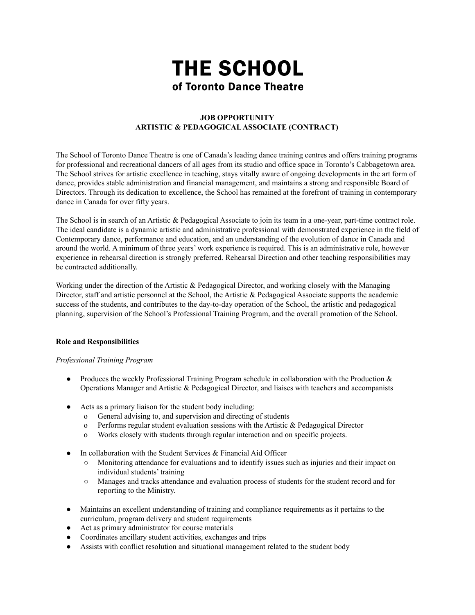# THE SCHOOL of Toronto Dance Theatre

# **JOB OPPORTUNITY ARTISTIC & PEDAGOGICALASSOCIATE (CONTRACT)**

The School of Toronto Dance Theatre is one of Canada's leading dance training centres and offers training programs for professional and recreational dancers of all ages from its studio and office space in Toronto's Cabbagetown area. The School strives for artistic excellence in teaching, stays vitally aware of ongoing developments in the art form of dance, provides stable administration and financial management, and maintains a strong and responsible Board of Directors. Through its dedication to excellence, the School has remained at the forefront of training in contemporary dance in Canada for over fifty years.

The School is in search of an Artistic & Pedagogical Associate to join its team in a one-year, part-time contract role. The ideal candidate is a dynamic artistic and administrative professional with demonstrated experience in the field of Contemporary dance, performance and education, and an understanding of the evolution of dance in Canada and around the world. A minimum of three years' work experience is required. This is an administrative role, however experience in rehearsal direction is strongly preferred. Rehearsal Direction and other teaching responsibilities may be contracted additionally.

Working under the direction of the Artistic & Pedagogical Director, and working closely with the Managing Director, staff and artistic personnel at the School, the Artistic  $\&$  Pedagogical Associate supports the academic success of the students, and contributes to the day-to-day operation of the School, the artistic and pedagogical planning, supervision of the School's Professional Training Program, and the overall promotion of the School.

## **Role and Responsibilities**

## *Professional Training Program*

- Produces the weekly Professional Training Program schedule in collaboration with the Production  $\&$ Operations Manager and Artistic & Pedagogical Director, and liaises with teachers and accompanists
- Acts as a primary liaison for the student body including:
	- o General advising to, and supervision and directing of students
	- o Performs regular student evaluation sessions with the Artistic  $\&$  Pedagogical Director
	- o Works closely with students through regular interaction and on specific projects.
- In collaboration with the Student Services  $&$  Financial Aid Officer
	- Monitoring attendance for evaluations and to identify issues such as injuries and their impact on individual students' training
	- Manages and tracks attendance and evaluation process of students for the student record and for reporting to the Ministry.
- Maintains an excellent understanding of training and compliance requirements as it pertains to the curriculum, program delivery and student requirements
- Act as primary administrator for course materials
- Coordinates ancillary student activities, exchanges and trips
- Assists with conflict resolution and situational management related to the student body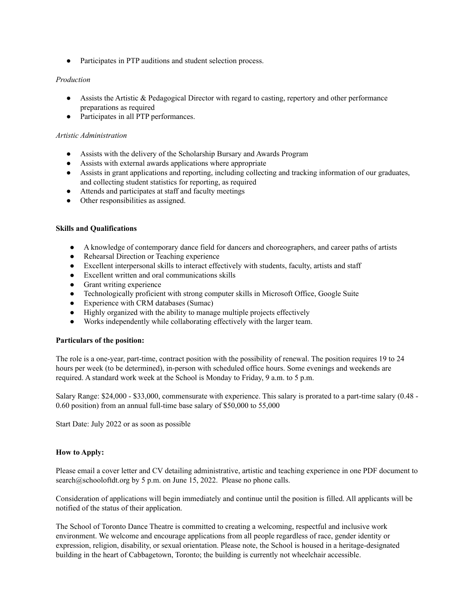• Participates in PTP auditions and student selection process.

# *Production*

- Assists the Artistic & Pedagogical Director with regard to casting, repertory and other performance preparations as required
- Participates in all PTP performances.

# *Artistic Administration*

- Assists with the delivery of the Scholarship Bursary and Awards Program
- Assists with external awards applications where appropriate
- Assists in grant applications and reporting, including collecting and tracking information of our graduates, and collecting student statistics for reporting, as required
- Attends and participates at staff and faculty meetings
- Other responsibilities as assigned.

# **Skills and Qualifications**

- A knowledge of contemporary dance field for dancers and choreographers, and career paths of artists
- Rehearsal Direction or Teaching experience
- Excellent interpersonal skills to interact effectively with students, faculty, artists and staff
- Excellent written and oral communications skills
- Grant writing experience
- Technologically proficient with strong computer skills in Microsoft Office, Google Suite
- Experience with CRM databases (Sumac)
- Highly organized with the ability to manage multiple projects effectively
- Works independently while collaborating effectively with the larger team.

## **Particulars of the position:**

The role is a one-year, part-time, contract position with the possibility of renewal. The position requires 19 to 24 hours per week (to be determined), in-person with scheduled office hours. Some evenings and weekends are required. A standard work week at the School is Monday to Friday, 9 a.m. to 5 p.m.

Salary Range: \$24,000 - \$33,000, commensurate with experience. This salary is prorated to a part-time salary (0.48 - 0.60 position) from an annual full-time base salary of \$50,000 to 55,000

Start Date: July 2022 or as soon as possible

## **How to Apply:**

Please email a cover letter and CV detailing administrative, artistic and teaching experience in one PDF document to search@schooloftdt.org by 5 p.m. on June 15, 2022. Please no phone calls.

Consideration of applications will begin immediately and continue until the position is filled. All applicants will be notified of the status of their application.

The School of Toronto Dance Theatre is committed to creating a welcoming, respectful and inclusive work environment. We welcome and encourage applications from all people regardless of race, gender identity or expression, religion, disability, or sexual orientation. Please note, the School is housed in a heritage-designated building in the heart of Cabbagetown, Toronto; the building is currently not wheelchair accessible.